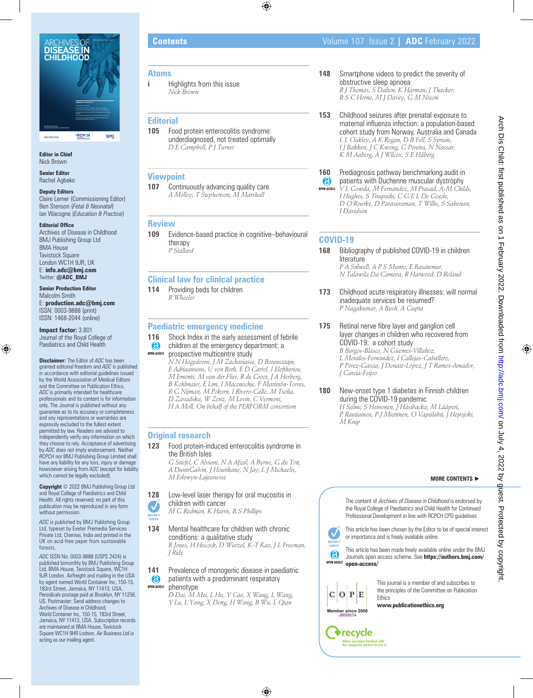

**Editor in Chief** Nick Brown

**Senior Editor** Rachel Agbeko

#### **Deputy Editors**

Claire Lemer (Commissioning Editor) Ben Stenson (*Fetal & Neonatal*) Ian Wacogne (*Education & Practice*)

### **Editorial Office**

Archives of Disease in Childhood BMJ Publishing Group Ltd BMA House Tavistock Square London WC1H 9JR, UK E: **info.adc@bmj.com** Twitter: **@ADC\_BMJ**

# **Senior Production Editor**

Malcolm Smith E: **production.adc@bmj.com** ISSN: 0003-9888 (print) ISSN: 1468-2044 (online)

## **Impact factor:** 3.801

Journal of the Royal College of Paediatrics and Child Health

**Disclaimer:** The Editor of *ADC* has been granted editorial freedom and *ADC* is published in accordance with editorial guidelines issued by the World Association of Medical Editors and the Committee on Publication Ethics. *ADC* is primarily intended for healthcare professionals and its content is for information only. The Journal is published without any guarantee as to its accuracy or completeness and any representations or warranties are expressly excluded to the fullest extent permitted by law. Readers are advised to independently verify any information on which they choose to rely. Acceptance of advertising by *ADC* does not imply endorsement. Neither *RCPCH* nor BMJ Publishing Group Limited shall have any liability for any loss, injury or damage howsoever arising from *ADC* (except for liability which cannot be legally excluded).

**Copyright** © 2022 BMJ Publishing Group Ltd and Royal College of Paediatrics and Child Health. All rights reserved; no part of this publication may be reproduced in any form without permission.

*ADC* is published by BMJ Publishing Group Ltd, typeset by Exeter Premedia Services Private Ltd, Chennai, India and printed in the UK on acid-free paper from sustainable forests.

*ADC* ISSN No: 0003-9888 (USPS 2424) is published bimonthly by BMJ Publishing Group Ltd, BMA House, Tavistock Square, WC1H 9JR London. Airfreight and mailing in the USA by agent named World Container Inc, 150-15, 183rd Street, Jamaica, NY 11413, USA. Periodicals postage paid at Brooklyn, NY 11256. US*.* Postmaster: Send address changes to Archives of Disease in Childhood, World Container Inc, 150-15, 183rd Street, Jamaica, NY 11413, USA. Subscription records are maintained at BMA House, Tavistock Square WC1H 9HR Lodnon. Air Business Ltd is acting as our mailing agent.

# **Atoms**

**i** Highlights from this issue *Nick Brown*

### **Editorial**

**105** Food protein enterocolitis syndrome: underdiagnosed, not treated optimally *D E Campbell, P J Turner*

# **Viewpoint**

**107** Continuously advancing quality care *A Molloy, T Stephenson, M Marshall*

# **Review**

**109** Evidence-based practice in cognitive–behavioural therapy *P Stallard*

# **Clinical law for clinical practice**

**114** Providing beds for children *R Wheeler*

## **Paediatric emergency medicine**

- 
- **116** Shock Index in the early assessment of febrile<br> **6** children at the emergency department: a children at the emergency department: a **OPEN ACCESS** prospective multicentre study *N N Hagedoorn, J M Zachariasse, D Borensztajn, E Adriaansens, U von Both, E D Carrol, I Eleftheriou, M Emonts, M van der Flier, R de Groot, J A Herberg, B Kohlmaier, E Lim, I Maconochie, F Martinón-Torres,*

*R G Nijman, M Pokorn, I Rivero-Calle, M Tsolia, D Zavadska, W Zenz, M Levin, C Vermont, H A Moll, On behalf of the PERFORM consortium*

## **Original research**

 $\overline{\vee}$ EDITOR

**123** Food protein-induced enterocolitis syndrome in the British Isles

*G Stiefel, C Alviani, N A Afzal, A Byrne, G du Toit, A DunnGalvin, J Hourihane, N Jay, L J Michaelis, M Erlewyn-Lajeunesse*

**128** Low-level laser therapy for oral mucositis in children with cancer

*M G Redman, K Harris, B S Phillips*

**134** Mental healthcare for children with chronic conditions: a qualitative study *R Jones, H Hiscock, D Wurzel, K-T Kao, J L Freeman, J Ride*

141 Prevalence of monogenic disease in paediatric patients with a predominant respiratory 6 **OPEN ACCESS** phenotype

*D Dai, M Mei, L Hu, Y Cao, X Wang, L Wang, Y Lu, L Yang, X Dong, H Wang, B Wu, L Qian*

**Contents Contents Contents Contents Contents Contents Volume 107** Issue 2 **| ADC** February 2022

- **148** Smartphone videos to predict the severity of obstructive sleep apnoea *R J Thomas, S Dalton, K Harman, J Thacker, R S C Horne, M J Davey, G M Nixon*
- **153** Childhood seizures after prenatal exposure to maternal influenza infection: a population-based cohort study from Norway, Australia and Canada *L L Oakley, A K Regan, D B Fell, S Spruin, I J Bakken, J C Kwong, G Pereira, N Nassar, K M Aaberg, A J Wilcox, S E Håberg*

**160** Prediagnosis pathway benchmarking audit in patients with Duchenne muscular dystrophy

6 **OPEN ACCESS** *V L Gowda, M Fernandez, M Prasad, A-M Childs, I Hughes, S Tirupathi, C G E L De Goede, D O'Rourke, D Parasuraman, T Willis, S Saberian, I Davidson*

# **COVID-19**

- **168** Bibliography of published COVID-19 in children literature *P A Stilwell, A P S Munro, E Basatemur, N Talawila Da Camara, R Harwood, D Roland*
- **173** Childhood acute respiratory illnesses: will normal inadequate services be resumed? *P Nagakumar, A Bush, A Gupta*
- **175** Retinal nerve fibre layer and ganglion cell layer changes in children who recovered from COVID-19: a cohort study *B Burgos-Blasco, N Güemes-Villahoz, L Morales-Fernandez, I Callejas-Caballero, P Perez-Garcia, J Donate-Lopez, J T Ramos-Amador, J Garcia-Feijoo*

**180** New-onset type 1 diabetes in Finnish children during the COVID-19 pandemic *H Salmi, S Heinonen, J Hästbacka, M Lääperi, P Rautiainen, P J Miettinen, O Vapalahti, J Hepojoki, M Knip*

#### **MORE CONTENTS** ►

The content of Archives of Disease in Childhood is endorsed by the Royal College of Paediatrics and Child Health for Continued Professional Development in line with RCPCH CPD guidelines

This article has been chosen by the Editor to be of special interest or importance and is freely available online.

This article has been made freely available online under the BMJ Journals open access scheme. See **https://authors.bmj.com/ open-access/**

> This journal is a member of and subscribes to the principles of the Committee on Publication **Ethics www.publicationethics.org**



Arch Dis Child: first published as on 1 February 2022. Downloaded from http://adc.bmj.com/ on July 4, 2022 by guest. Protected by copyright Arch Dis Child: first published as on 1 February 2022. Downloaded from <http://adc.bmj.com/> on July 4, 2022 by guest. Protected by copyright.





 $\overline{\mathbf{v}}$ EDITOR<sup>®</sup><br>CHOICE 6